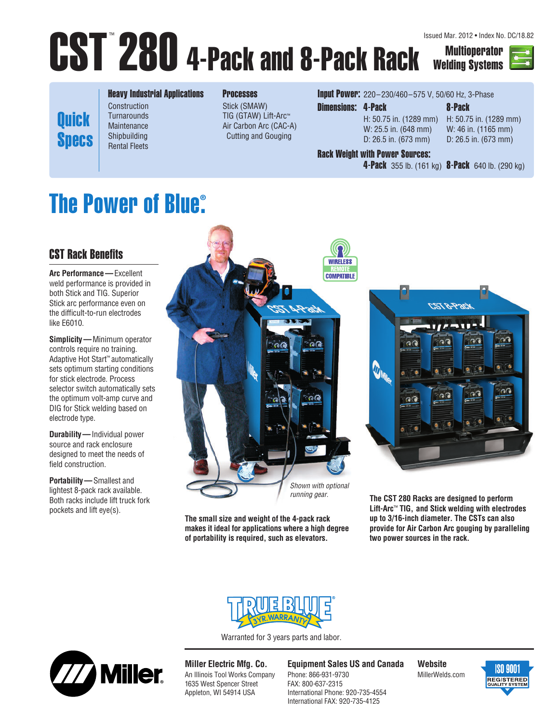# CST 280 4-Pack and 8-Pack Rack Multioperator Issued Mar. 2012 • Index No. DC/18.82

Welding Systems



**Quick Specs** 

#### Heavy Industrial Applications **Construction Turnarounds Maintenance** Shipbuilding

#### Processes

Stick (SMAW) TIG (GTAW) Lift-Arc™ Air Carbon Arc (CAC-A) Cutting and Gouging

**Input Power:** 220-230/460-575 V, 50/60 Hz, 3-Phase

Dimensions: 4-Pack 8-Pack W: 25.5 in. (648 mm) W: 46 in. (1165 mm) D: 26.5 in. (673 mm) D: 26.5 in. (673 mm)

H: 50.75 in. (1289 mm) H: 50.75 in. (1289 mm)

#### Rack Weight with Power Sources:

**4-Pack** 355 lb. (161 kg) **8-Pack** 640 lb. (290 kg)

#### **The Power of Blue® .**

Rental Fleets

### CST Rack Benefits

**Arc Performance —**Excellent weld performance is provided in both Stick and TIG. Superior Stick arc performance even on the difficult-to-run electrodes like E6010.

**Simplicity —**Minimum operator controls require no training. Adaptive Hot Start™ automatically sets optimum starting conditions for stick electrode. Process selector switch automatically sets the optimum volt-amp curve and DIG for Stick welding based on electrode type.

**Durability —**Individual power source and rack enclosure designed to meet the needs of field construction.

**Portability —**Smallest and lightest 8-pack rack available. Both racks include lift truck fork pockets and lift eye(s).



**The small size and weight of the 4-pack rack makes it ideal for applications where a high degree of portability is required, such as elevators.** 



**The CST 280 Racks are designed to perform Lift-Arc**™ **TIG, and Stick welding with electrodes up to 3/16-inch diameter. The CSTs can also provide for Air Carbon Arc gouging by paralleling two power sources in the rack.** 



Warranted for 3 years parts and labor.



**Miller Electric Mfg. Co.** An Illinois Tool Works Company 1635 West Spencer Street Appleton, WI 54914 USA

#### **Equipment Sales US and Canada**

Phone: 866-931-9730 FAX: 800-637-2315 International Phone: 920-735-4554 International FAX: 920-735-4125

**Website** MillerWelds.com